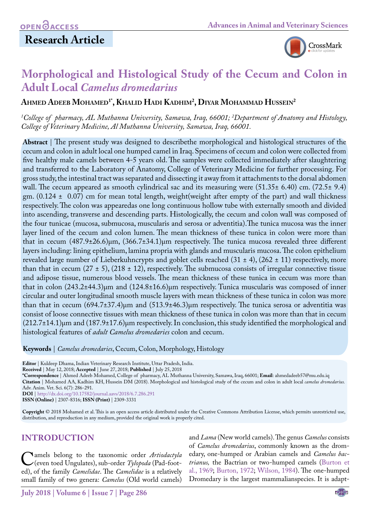## **Research Article**



# **Morphological and Histological Study of the Cecum and Colon in Adult Local** *Camelus dromedarius*

**Ahmed Adeeb Mohamed1\*, Khalid Hadi Kadhim2 , Diyar Mohammad Hussein2**

*1 College of pharmacy, AL Muthanna University, Samawa, Iraq, 66001; 2 Department of Anatomy and Histology, College of Veterinary Medicine, Al Muthanna University, Samawa, Iraq, 66001.*

**Abstract** | The present study was designed to describethe morphological and histological structures of the cecum and colon in adult local one humped camel in Iraq. Specimens of cecum and colon were collected from five healthy male camels between 4-5 years old. The samples were collected immediately after slaughtering and transferred to the Laboratory of Anatomy, College of Veterinary Medicine for further processing. For gross study, the intestinal tract was separated and dissecting it away from it attachments to the dorsal abdomen wall. The cecum appeared as smooth cylindrical sac and its measuring were  $(51.35\pm 6.40)$  cm.  $(72.5\pm 9.4)$ gm.  $(0.124 \pm 0.07)$  cm for mean total length, weight(weight after empty of the part) and wall thickness respectively. The colon was appearedas one long continuous hollow tube with externally smooth and divided into ascending, transverse and descending parts. Histologically, the cecum and colon wall was composed of the four tunicae (mucosa, submucosa, muscularis and serosa or adventitia).The tunica mucosa was the inner layer lined of the cecum and colon lumen. The mean thickness of these tunica in colon were more than that in cecum (487.9±26.6)μm, (366.7±34.1)μm respectively. The tunica mucosa revealed three different layers including: lining epithelium, lamina propria with glands and muscularis mucosa. The colon epithelium revealed large number of Lieberkuhncrypts and goblet cells reached  $(31 \pm 4)$ ,  $(262 \pm 11)$  respectively, more than that in cecum  $(27 \pm 5)$ ,  $(218 \pm 12)$ , respectively. The submucosa consists of irregular connective tissue and adipose tissue, numerous blood vessels. The mean thickness of these tunica in cecum was more than that in colon (243.2±44.3)μm and (124.8±16.6)μm respectively. Tunica muscularis was composed of inner circular and outer longitudinal smooth muscle layers with mean thickness of these tunica in colon was more than that in cecum (694.7±37.4)μm and (513.9±46.3)μm respectively. The tunica serosa or adventitia was consist of loose connective tissues with mean thickness of these tunica in colon was more than that in cecum  $(212.7\pm14.1)$ μm and  $(187.9\pm17.6)$ μm respectively. In conclusion, this study identified the morphological and histological features of *adult Camelus dromedaries* colon and cecum.

**Keywords** | *Camelus dromedaries*, Cecum, Colon, Morphology, Histology

**Editor** | Kuldeep Dhama, Indian Veterinary Research Institute, Uttar Pradesh, India.

**Received** | May 12, 2018; **Accepted** | June 27, 2018; **Published** | July 25, 2018

**\*Correspondence** | Ahmed Adeeb Mohamed, College of pharmacy, AL Muthanna University, Samawa, Iraq, 66001; **Email**: ahmedadeeb57@mu.edu.iq **Citation** | Mohamed AA, Kadhim KH, Hussein DM (2018). Morphological and histological study of the cecum and colon in adult local *camelus dromedarius.* Adv. Anim. Vet. Sci. 6(7): 286-291.

**DOI** | <http://dx.doi.org/10.17582/journal.aavs/2018/6.7.286.291>

**ISSN (Online)** | 2307-8316; **ISSN (Print)** | 2309-3331

**Copyright** © 2018 Mohamed et al. This is an open access article distributed under the Creative Commons Attribution License, which permits unrestricted use, distribution, and reproduction in any medium, provided the original work is properly cited.

## **Introduction**

Camels belong to the taxonomic order *Artiodactyla*<br>
(even toed Ungulates), sub-order *Tylopoda* (Pad-foot-<br>
ed) of the family *Camelidae* The *Camelidae* is a relatively ed), of the family *Camelidae*. The *Camelidae* is a relatively small family of two genera: *Camelus* (Old world camels)

and *Lama* (New world camels). The genus *Camelus* consists of *Camelus dromedarius*, commonly known as the dromedary, one-humped or Arabian camels and *Camelus bactrianus,* the Bactrian or two-humped camels [\(Burton et](#page-4-0) [al., 1969;](#page-4-0) [Burton, 1972](#page-4-1); [Wilson, 1984](#page-5-0)). The one-humped Dromedary is the largest mammalianspecies. It is adapt-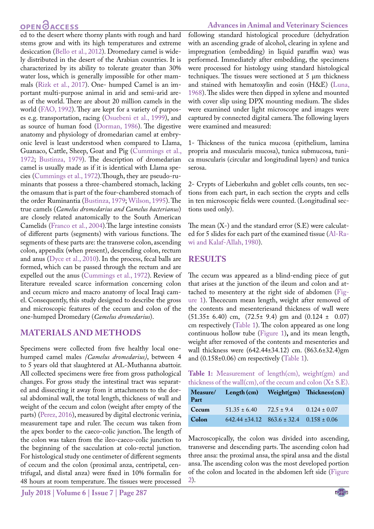## **OPEN**<sub>d</sub>

ed to the desert where thorny plants with rough and hard stems grow and with its high temperatures and extreme desiccation ([Bello et al., 2012](#page-4-2)). Dromedary camel is widely distributed in the desert of the Arabian countries. It is characterized by its ability to tolerate greater than 30% water loss, which is generally impossible for other mammals [\(Rizk et al., 2017\)](#page-5-1). One- humped Camel is an important multi-purpose animal in arid and semi-arid areas of the world. There are about 20 million camels in the world ([FAO, 1992](#page-5-2)). They are kept for a variety of purposes e.g. transportation, racing [\(Osuebeni et al., 1999\)](#page-5-3), and as source of human food ([Dorman, 1986\)](#page-5-4). The digestive anatomy and physiology of dromedarian camel at embryonic level is least understood when compared to Llama, Guanaco, Cattle, Sheep, Goat and Pig [\(Cummings et al.,](#page-5-5) [1972](#page-5-5); [Bustinza, 1979\)](#page-4-3). The description of dromedarian camel is usually made as if it is identical with Llama species [\(Cummings et al., 1972\)](#page-5-5).Though, they are pseudo-ruminants that possess a three-chambered stomach, lacking the omasum that is part of the four-chambered stomach of the order Ruminantia [\(Bustinza, 1979;](#page-4-3) [Wilson, 1995\)](#page-5-6). The true camels (*Camelus dromedarius and Camelus bacterianus*) are closely related anatomically to the South American Camelids ([Franco et al., 2004](#page-5-7)).The large intestine consists of different parts (segments) with various functions. The segments of these parts are: the transverse colon, ascending colon, appendix (when present), descending colon, rectum and anus ([Dyce et al., 2010](#page-5-8)). In the process, fecal balls are formed, which can be passed through the rectum and are expelled out the anus [\(Cummings et al., 1972](#page-5-5)). Review of literature revealed scarce information concerning colon and cecum micro and macro anatomy of local Iraqi camel. Consequently, this study designed to describe the gross and microscopic features of the cecum and colon of the one-humped Dromedary (*Camelus dromedarius*).

## **Materials and methods**

Specimens were collected from five healthy local onehumped camel males *(Camelus dromedarius)*, between 4 to 5 years old that slaughtered at AL-Muthanna abattoir. All collected specimens were free from gross pathological changes. For gross study the intestinal tract was separated and dissecting it away from it attachments to the dorsal abdominal wall, the total length, thickness of wall and weight of the cecum and colon (weight after empty of the parts) (Perez, 2016), measured by digital electronic verinia, measurement tape and ruler. The cecum was taken from the apex border to the caeco-colic junction. The length of the colon was taken from the ileo-caeco-colic junction to the beginning of the sacculation at colo-rectal junction. For histological study one centimeter of different segments of cecum and the colon (proximal anza, centripetal, centrifugal, and distal anza) were fixed in 10% formalin for 48 hours at room temperature. The tissues were processed

#### **Advances in Animal and Veterinary Sciences**

following standard histological procedure (dehydration with an ascending grade of alcohol, clearing in xylene and impregnation (embedding) in liquid paraffin wax) was performed. Immediately after embedding, the specimens were processed for histology using standard histological techniques. The tissues were sectioned at 5 μm thickness and stained with hematoxylin and eosin (H&E) [\(Luna,](#page-5-9)  [1968\)](#page-5-9). The slides were then dipped in xylene and mounted with cover slip using DPX mounting medium. The slides were examined under light microscope and images were captured by connected digital camera. The following layers were examined and measured:

1- Thickness of the tunica mucosa (epithelium, lamina propria and muscularis mucosa), tunica submucosa, tunica muscularis (circular and longitudinal layers) and tunica serosa.

2- Crypts of Lieberkuhn and goblet cells counts, ten sections from each part, in each section the crypts and cells in ten microscopic fields were counted. (Longitudinal sections used only).

The mean  $(X-)$  and the standard error  $(S.E)$  were calculated for 5 slides for each part of the examined tissue [\(Al-Ra](#page-4-4)[wi and Kalaf-Allah, 1980](#page-4-4)).

## **Results**

The cecum was appeared as a blind-ending piece of gut that arises at the junction of the ileum and colon and attached to mesentery at the right side of abdomen [\(Fig](#page-2-0)[ure 1\)](#page-2-0). Thececum mean length, weight after removed of the contents and mesenteriesand thickness of wall were (51.35± 6.40) cm, (72.5± 9.4) gm and (0.124 ± 0.07) cm respectively ([Table 1](#page-1-0)). The colon appeared as one long continuous hollow tube ([Figure 1\)](#page-2-0)**,** and its mean length, weight after removed of the contents and mesenteries and wall thickness were (642.44±34.12) cm. (863.6±32.4)gm and (0.158±0.06) cm respectively ([Table 1\)](#page-1-0).

<span id="page-1-0"></span>**Table 1:** Measurement of length(cm), weight(gm) and thickness of the wall(cm), of the cecum and colon  $(X \pm S.E)$ .

| Measure/<br>Part | Length $(cm)$                                        |                | Weight(gm) Thickness(cm) |
|------------------|------------------------------------------------------|----------------|--------------------------|
| Cecum            | $51.35 \pm 6.40$                                     | $72.5 \pm 9.4$ | $0.124 \pm 0.07$         |
| Colon            | $642.44 \pm 34.12$ $863.6 \pm 32.4$ $0.158 \pm 0.06$ |                |                          |

Macroscopically, the colon was divided into ascending, transverse and descending parts. The ascending colon had three ansa: the proximal ansa, the spiral ansa and the distal ansa. The ascending colon was the most developed portion of the colon and located in the abdomen left side ([Figure](#page-2-1)  [2](#page-2-1)).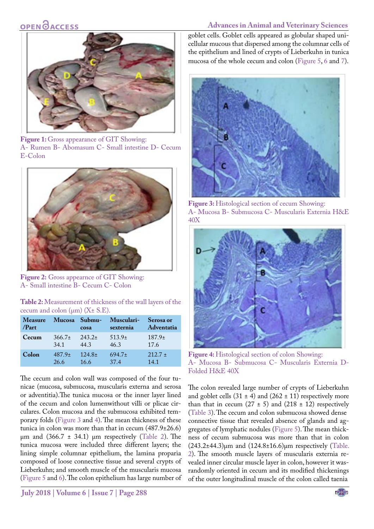## OPEN OACCESS

#### **Advances in Animal and Veterinary Sciences**



Figure 1: Gross appearance of GIT Showing: A- Rumen B- Abomasum C- Small intestine D- Cecum E-Colon

<span id="page-2-0"></span>

**Figure 2:** Gross appearnce of GIT Showing: A- Small intestine B- Cecum C- Colon

<span id="page-2-4"></span><span id="page-2-1"></span>

| Table 2: Measurement of thickness of the wall layers of the |  |  |
|-------------------------------------------------------------|--|--|
| cecum and colon $(\mu m)$ (X $\pm$ S.E).                    |  |  |

| <b>Measure</b> |            | Mucosa Submu- | Musculari-         | <b>Serosa</b> or   |
|----------------|------------|---------------|--------------------|--------------------|
| /Part          |            | cosa          | sexternia          | Adventatia         |
| Cecum          | $366.7\pm$ | $243.2+$      | 513.9 <sub>±</sub> | 187.9 <sub>±</sub> |
|                | 34.1       | 443           | 46.3               | 17.6               |
| Colon          | $487.9+$   | $124.8+$      | $694.7\pm$         | $212.7 \pm$        |
|                | 26.6       | 16.6          | 37.4               | 14.1               |

The cecum and colon wall was composed of the four tunicae (mucosa, submucosa, muscularis externa and serosa or adventitia).The tunica mucosa or the inner layer lined of the cecum and colon lumenwithout villi or plicae circulares. Colon mucosa and the submucosa exhibited temporary folds [\(Figure 3](#page-2-2) and [4](#page-2-3)). The mean thickness of these tunica in colon was more than that in cecum (487.9±26.6) μm and  $(366.7 \pm 34.1)$  μm respectively ([Table 2](#page-2-4)). The tunica mucosa were included three different layers; the lining simple columnar epithelium, the lamina proparia composed of loose connective tissue and several crypts of Lieberkuhn; and smooth muscle of the muscularis mucosa ([Figure 5](#page-3-0) and [6](#page-3-1)). The colon epithelium has large number of goblet cells. Goblet cells appeared as globular shaped unicellular mucous that dispersed among the columnar cells of the epithelium and lined of crypts of Lieberkuhn in tunica mucosa of the whole cecum and colon ([Figure 5,](#page-3-0) [6](#page-3-1) an[d 7\)](#page-3-2).



**Figure 3:** Histological section of cecum Showing: A- Mucosa B- Submucosa C- Muscularis Externia H&E 40X

<span id="page-2-2"></span>

**Figure 4:** Histological section of colon Showing: A- Mucosa B- Submucosa C- Muscularis Externia D-Folded H&E 40X

<span id="page-2-3"></span>The colon revealed large number of crypts of Lieberkuhn and goblet cells  $(31 \pm 4)$  and  $(262 \pm 11)$  respectively more than that in cecum  $(27 \pm 5)$  and  $(218 \pm 12)$  respectively [\(Table 3](#page-3-3)). The cecum and colon submucosa showed dense connective tissue that revealed absence of glands and aggregates of lymphatic nodules [\(Figure 5](#page-3-0)). The mean thickness of cecum submucosa was more than that in colon  $(243.2\pm44.3)\mu m$  and  $(124.8\pm16.6)\mu m$  respectively (Table. [2](#page-2-4)). The smooth muscle layers of muscularis externia revealed inner circular muscle layer in colon, however it wasrandomly oriented in cecum and its modified thickenings of the outer longitudinal muscle of the colon called taenia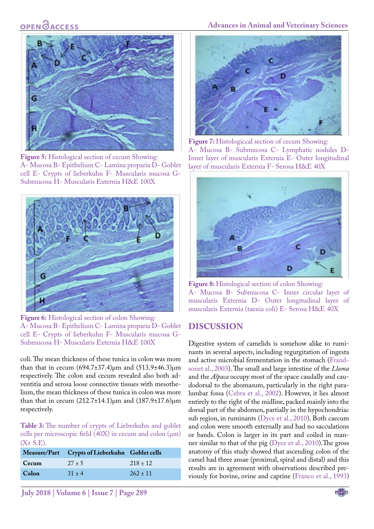## **OPEN**OACCESS



**Figure 5:** Histological section of cecum Showing: A- Mucosa B- Epithelium C- Lamina proparia D- Goblet cell E- Crypts of lieberkuhn F- Muscularis mucosa G-Submucosa H- Muscularis Externia H&E 100X

<span id="page-3-0"></span>

<span id="page-3-1"></span>**Figure 6:** Histological section of colon Showing: A- Mucosa B- Epithelium C- Lamina proparia D- Goblet cell E- Crypts of lieberkuhn F- Muscularis mucosa G-Submucosa H- Muscularis Externia H&E 100X

coli. The mean thickness of these tunica in colon was more than that in cecum  $(694.7 \pm 37.4) \mu m$  and  $(513.9 \pm 46.3) \mu m$ respectively. The colon and cecum revealed also both adventitia and serosa loose connective tissues with mesothelium, the mean thickness of these tunica in colon was more than that in cecum  $(212.7±14.1)μm$  and  $(187.9±17.6)μm$ respectively.

<span id="page-3-3"></span>**Table 3:** The number of crypts of Lieberkuhn and goblet cells per microscopic field  $(40X)$  in cecum and colon  $(\mu m)$  $(X \pm S.E)$ .

|              | Measure/Part Crypts of Lieberkuhn Goblet cells |              |
|--------------|------------------------------------------------|--------------|
| <b>Cecum</b> | $27 + 5$                                       | $218 \pm 12$ |
| Colon        | $31 + 4$                                       | $262 \pm 11$ |

#### **Advances in Animal and Veterinary Sciences**



Figure 7: Histologiccal section of cecum Showing: A- Mucosa B- Submucosa C- Lymphatic nodules D-Inner layer of muscularis Externia E- Outer longitudinal layer of muscularis Externia F- Serosa H&E 40X

<span id="page-3-2"></span>

**Figure 8:** Histological section of colon Showing: A- Mucosa B- Submucosa C- Inner circular layer of muscularis Externia D- Outer longitudinal layer of muscularis Externia (taenia coli) E- Serosa H&E 40X

### **Discussion**

Digestive system of camelids is somehow alike to ruminants in several aspects, including regurgitation of ingesta and active microbial fermentation in the stomach [\(Frand](#page-5-10)[sonet al., 2003](#page-5-10)). The small and large intestine of the *Llama*  and the *Alpaca* occupy most of the space caudally and caudodorsal to the abomasum, particularly in the right paralumbar fossa ([Cebra et al., 2002\)](#page-5-11). However, it lies almost entirely to the right of the midline, packed mainly into the dorsal part of the abdomen, partially in the hypochondriac sub region, in ruminants [\(Dyce et al., 2010](#page-5-8)). Both caecum and colon were smooth externally and had no sacculations or bands. Colon is larger in its part and coiled in manner similar to that of the pig ([Dyce et al., 2010](#page-5-8)).The gross anatomy of this study showed that ascending colon of the camel had three ansae (proximal, spiral and distal) and this results are in agreement with observations described previously for bovine, ovine and caprine (Franco et al., 1993)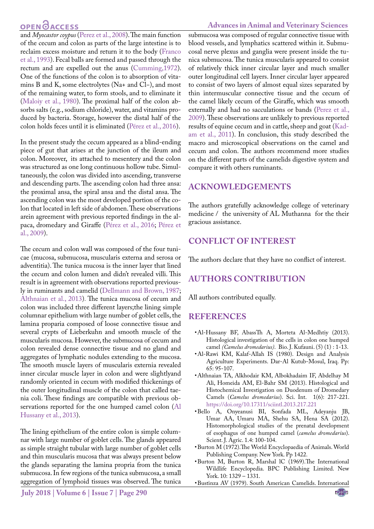## **OPEN**<sub>d</sub>

#### **Advances in Animal and Veterinary Sciences**

and *Myocastor coypus* (Perez et al., 2008). The main function of the cecum and colon as parts of the large intestine is to reclaim excess moisture and return it to the body (Franco et al., 1993). Fecal balls are formed and passed through the rectum and are expelled out the anus [\(Cumming,1972](#page-5-5)). One of the functions of the colon is to absorption of vitamins B and K, some electrolytes (Na+ and Cl−), and most of the remaining water, to form stools, and to eliminate it [\(Maloiy et al., 1980\)](#page-5-12). The proximal half of the colon absorbs salts (e.g., sodium chloride), water, and vitamins produced by bacteria. Storage, however the distal half of the colon holds feces until it is eliminated (Pérez et al., 2016).

In the present study the cecum appeared as a blind-ending piece of gut that arises at the junction of the ileum and colon. Moreover, its attached to mesentery and the colon was structured as one long continuous hollow tube. Simultaneously, the colon was divided into ascending, transverse and descending parts. The ascending colon had three ansa: the proximal ansa, the spiral ansa and the distal ansa. The ascending colon was the most developed portion of the colon that located in left side of abdomen. These observations arein agreement with previous reported findings in the alpaca, dromedary and Giraffe (Pérez et al., 2016; Pérez et al., 2009).

The cecum and colon wall was composed of the four tunicae (mucosa, submucosa, muscularis externa and serosa or adventitia). The tunica mucosa is the inner layer that lined the cecum and colon lumen and didn't revealed villi. This result is in agreement with observations reported previously in ruminants and camelid ([Dellmann and Brown, 1987;](#page-5-13) [Althnaian et al., 2013\)](#page-4-5). The tunica mucosa of cecum and colon was included three different layers;the lining simple columnar epithelium with large number of goblet cells, the lamina proparia composed of loose connective tissue and several crypts of Lieberkuhn and smooth muscle of the muscularis mucosa. However, the submucosa of cecum and colon revealed dense connective tissue and no gland and aggregates of lymphatic nodules extending to the mucosa. The smooth muscle layers of muscularis externia revealed inner circular muscle layer in colon and were slightlyand randomly oriented in cecum with modified thickenings of the outer longitudinal muscle of the colon that called taenia coli. These findings are compatible with previous observations reported for the one humped camel colon [\(Al](#page-4-6) [Hussany et al., 2013](#page-4-6)).

The lining epithelium of the entire colon is simple columnar with large number of goblet cells. The glands appeared as simple straight tubular with large number of goblet cells and thin muscularis mucosa that was always present below the glands separating the lamina propria from the tunica submucosa. In few regions of the tunica submucosa, a small aggregation of lymphoid tissues was observed. The tunica

submucosa was composed of regular connective tissue with blood vessels, and lymphatics scattered within it. Submucosal nerve plexus and ganglia were present inside the tunica submucosa. The tunica muscularis appeared to consist of relatively thick inner circular layer and much smaller outer longitudinal cell layers. Inner circular layer appeared to consist of two layers of almost equal sizes separated by thin intermuscular connective tissue and the cecum of the camel likely cecum of the Giraffe, which was smooth externally and had no sacculations or bands (Perez et al., 2009). These observations are unlikely to previous reported results of equine cecum and in cattle, sheep and goat ([Kad](#page-5-14)[am et al., 2011](#page-5-14)). In conclusion, this study described the macro and microscopical observations on the camel and cecum and colon. The authors recommend more studies on the different parts of the camelids digestive system and compare it with others ruminants.

### **Acknowledgements**

The authors gratefully acknowledge college of veterinary medicine / the university of AL Muthanna for the their gracious assistance.

### **Conflict of Interest**

The authors declare that they have no conflict of interest.

## **Authors Contribution**

All authors contributed equally.

### **References**

- <span id="page-4-6"></span>• Al-Hussany BF, AbassTh A, Morteta Al-Medhtiy (2013). Histological investigation of the cells in colon one humped camel *(Camelus dromedarius)*. Bio. J. Kufauni. (5) (1) : 1-13.
- <span id="page-4-4"></span>• Al-Rawi KM, Kalaf-Allah IS (1980). Design and Analysis Agriculture Experiments. Dar-Al Kutub-Mosul, Iraq. Pp: 65: 95-107.
- <span id="page-4-5"></span>• Althnaian TA, Alkhodair KM, Albokhadaim IF, Abdelhay M Ali, Homeida AM, El-Bahr SM (2013). Histological and Histochemical Investigation on Duodenum of Dromedary Camels (*Camelus dromedarius*). Sci. Int. 1(6): 217-221. [https://doi.org/10.17311/sciintl.2013.217.221](https://doi.org/10.17311/sciintl.2013.217.221 )
- <span id="page-4-2"></span>• Bello A, Onyeanusi BI, Sonfada ML, Adeyanju JB, Umar AA, Umaru MA, Shehu SA, Hena SA (2012). Histomorphological studies of the prenatal development of esophagus of one humped camel (*camelus dromedarius*). Scient. J. Agric. 1.4: 100-104.
- <span id="page-4-1"></span>• Burton M (1972).The World Encyclopaedia of Animals. World Publishing Company. New York. Pp 1422.
- <span id="page-4-0"></span>• Burton M, Burton R, Marshal lC (1969).The International Wildlife Encyclopedia. BPC Publishing Limited. New York. 10: 1329 – 1331.
- <span id="page-4-3"></span>• Bustinza AV (1979). South American Camelids. International